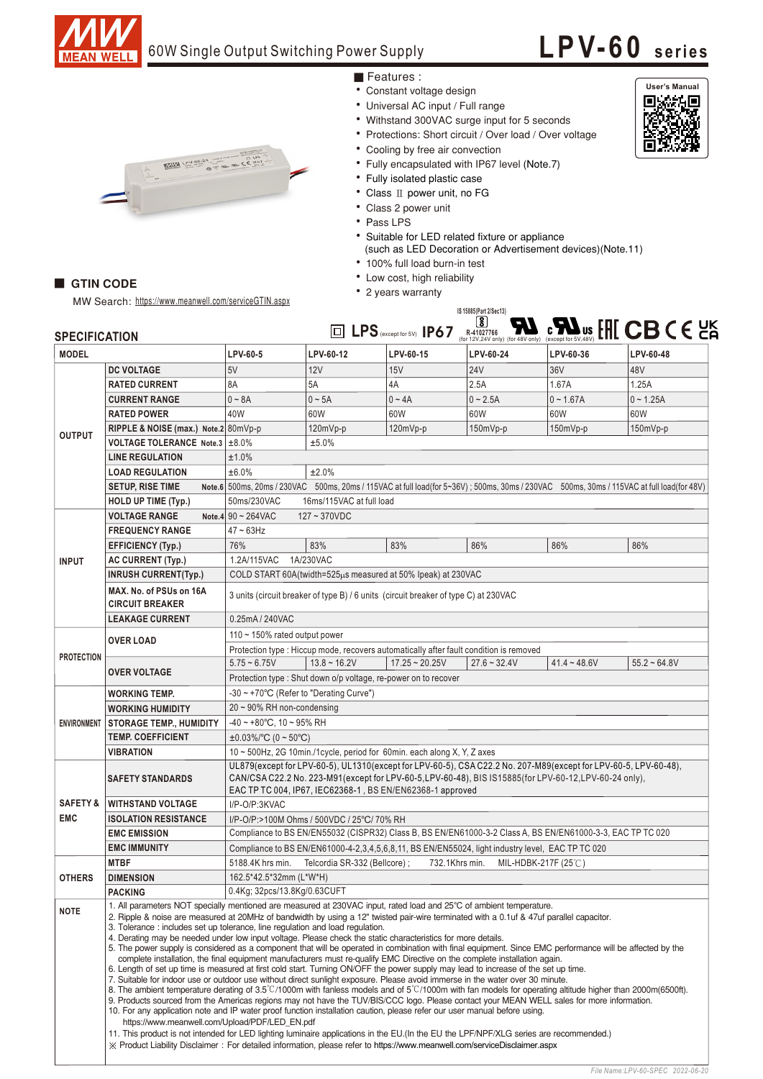

### 60W Single Output Switching Power Supply

# **LPV-60 seri es**



### **GTIN CODE**

**SPECIFICATION**

MW Search: https://www.meanwell.com/serviceGTIN.aspx

### • 100% full load burn-in test • Low cost, high reliability

Features :

• Constant voltage design • Universal AC input / Full range

• Cooling by free air convection

• Fully isolated plastic case • Class II power unit, no FG • Class 2 power unit • Pass LPS

• 2 years warranty

• Withstand 300VAC surge input for 5 seconds • Protections: Short circuit / Over load / Over voltage

• Fully encapsulated with IP67 level (Note.7)

• Suitable for LED related fixture or appliance

(such as LED Decoration or Advertisement devices)(Note.11)



| <b>MODEL</b>        |                                                                                                                                                                                                                                                                                                                                                                                                                                                                                                                                                                                                                                                                                                                                                                                                                                                                                                                                                                                                                                                                                                                                                                                                                                                                                                                                                                                                                                                                                                                                                                                                                                                                                                                                                                                                    | LPV-60-5                                                                                                                                                                                                                                                                               | LPV-60-12         | LPV-60-15        | LPV-60-24      | LPV-60-36      | LPV-60-48      |
|---------------------|----------------------------------------------------------------------------------------------------------------------------------------------------------------------------------------------------------------------------------------------------------------------------------------------------------------------------------------------------------------------------------------------------------------------------------------------------------------------------------------------------------------------------------------------------------------------------------------------------------------------------------------------------------------------------------------------------------------------------------------------------------------------------------------------------------------------------------------------------------------------------------------------------------------------------------------------------------------------------------------------------------------------------------------------------------------------------------------------------------------------------------------------------------------------------------------------------------------------------------------------------------------------------------------------------------------------------------------------------------------------------------------------------------------------------------------------------------------------------------------------------------------------------------------------------------------------------------------------------------------------------------------------------------------------------------------------------------------------------------------------------------------------------------------------------|----------------------------------------------------------------------------------------------------------------------------------------------------------------------------------------------------------------------------------------------------------------------------------------|-------------------|------------------|----------------|----------------|----------------|
|                     | <b>DC VOLTAGE</b>                                                                                                                                                                                                                                                                                                                                                                                                                                                                                                                                                                                                                                                                                                                                                                                                                                                                                                                                                                                                                                                                                                                                                                                                                                                                                                                                                                                                                                                                                                                                                                                                                                                                                                                                                                                  | 5V                                                                                                                                                                                                                                                                                     | 12V               | 15V              | <b>24V</b>     | 36V            | 48V            |
| <b>OUTPUT</b>       | <b>RATED CURRENT</b>                                                                                                                                                                                                                                                                                                                                                                                                                                                                                                                                                                                                                                                                                                                                                                                                                                                                                                                                                                                                                                                                                                                                                                                                                                                                                                                                                                                                                                                                                                                                                                                                                                                                                                                                                                               | 8A                                                                                                                                                                                                                                                                                     | 5A                | 4A               | 2.5A           | 1.67A          | 1.25A          |
|                     | <b>CURRENT RANGE</b>                                                                                                                                                                                                                                                                                                                                                                                                                                                                                                                                                                                                                                                                                                                                                                                                                                                                                                                                                                                                                                                                                                                                                                                                                                                                                                                                                                                                                                                                                                                                                                                                                                                                                                                                                                               | $0 - 8A$                                                                                                                                                                                                                                                                               | $0 \sim 5A$       | $0 - 4A$         | $0 - 2.5A$     | $0 - 1.67A$    | $0 - 1.25A$    |
|                     | <b>RATED POWER</b>                                                                                                                                                                                                                                                                                                                                                                                                                                                                                                                                                                                                                                                                                                                                                                                                                                                                                                                                                                                                                                                                                                                                                                                                                                                                                                                                                                                                                                                                                                                                                                                                                                                                                                                                                                                 | 40W                                                                                                                                                                                                                                                                                    | 60W               | 60W              | 60W            | 60W            | 60W            |
|                     | RIPPLE & NOISE (max.) Note.2 80mVp-p                                                                                                                                                                                                                                                                                                                                                                                                                                                                                                                                                                                                                                                                                                                                                                                                                                                                                                                                                                                                                                                                                                                                                                                                                                                                                                                                                                                                                                                                                                                                                                                                                                                                                                                                                               |                                                                                                                                                                                                                                                                                        | $120mVp-p$        | $120mVp-p$       | 150mVp-p       | $150mVp-p$     | $150mVp-p$     |
|                     | VOLTAGE TOLERANCE Note.3 ±8.0%                                                                                                                                                                                                                                                                                                                                                                                                                                                                                                                                                                                                                                                                                                                                                                                                                                                                                                                                                                                                                                                                                                                                                                                                                                                                                                                                                                                                                                                                                                                                                                                                                                                                                                                                                                     | ±5.0%                                                                                                                                                                                                                                                                                  |                   |                  |                |                |                |
|                     | <b>LINE REGULATION</b>                                                                                                                                                                                                                                                                                                                                                                                                                                                                                                                                                                                                                                                                                                                                                                                                                                                                                                                                                                                                                                                                                                                                                                                                                                                                                                                                                                                                                                                                                                                                                                                                                                                                                                                                                                             | ±1.0%                                                                                                                                                                                                                                                                                  |                   |                  |                |                |                |
|                     | <b>LOAD REGULATION</b>                                                                                                                                                                                                                                                                                                                                                                                                                                                                                                                                                                                                                                                                                                                                                                                                                                                                                                                                                                                                                                                                                                                                                                                                                                                                                                                                                                                                                                                                                                                                                                                                                                                                                                                                                                             | ±6.0%<br>±2.0%                                                                                                                                                                                                                                                                         |                   |                  |                |                |                |
|                     | <b>SETUP, RISE TIME</b>                                                                                                                                                                                                                                                                                                                                                                                                                                                                                                                                                                                                                                                                                                                                                                                                                                                                                                                                                                                                                                                                                                                                                                                                                                                                                                                                                                                                                                                                                                                                                                                                                                                                                                                                                                            | Note.6 500ms, 20ms / 230VAC 500ms, 20ms / 115VAC at full load(for 5~36V); 500ms, 30ms / 230VAC 500ms, 30ms / 115VAC at full load(for 48V)                                                                                                                                              |                   |                  |                |                |                |
|                     | <b>HOLD UP TIME (Typ.)</b>                                                                                                                                                                                                                                                                                                                                                                                                                                                                                                                                                                                                                                                                                                                                                                                                                                                                                                                                                                                                                                                                                                                                                                                                                                                                                                                                                                                                                                                                                                                                                                                                                                                                                                                                                                         | 50ms/230VAC<br>16ms/115VAC at full load                                                                                                                                                                                                                                                |                   |                  |                |                |                |
| <b>INPUT</b>        | <b>VOLTAGE RANGE</b>                                                                                                                                                                                                                                                                                                                                                                                                                                                                                                                                                                                                                                                                                                                                                                                                                                                                                                                                                                                                                                                                                                                                                                                                                                                                                                                                                                                                                                                                                                                                                                                                                                                                                                                                                                               | Note.4 90 ~ 264VAC<br>$127 - 370$ VDC                                                                                                                                                                                                                                                  |                   |                  |                |                |                |
|                     | <b>FREQUENCY RANGE</b>                                                                                                                                                                                                                                                                                                                                                                                                                                                                                                                                                                                                                                                                                                                                                                                                                                                                                                                                                                                                                                                                                                                                                                                                                                                                                                                                                                                                                                                                                                                                                                                                                                                                                                                                                                             | $47 \sim 63$ Hz                                                                                                                                                                                                                                                                        |                   |                  |                |                |                |
|                     | <b>EFFICIENCY (Typ.)</b>                                                                                                                                                                                                                                                                                                                                                                                                                                                                                                                                                                                                                                                                                                                                                                                                                                                                                                                                                                                                                                                                                                                                                                                                                                                                                                                                                                                                                                                                                                                                                                                                                                                                                                                                                                           | 76%                                                                                                                                                                                                                                                                                    | 83%               | 83%              | 86%            | 86%            | 86%            |
|                     | <b>AC CURRENT (Typ.)</b>                                                                                                                                                                                                                                                                                                                                                                                                                                                                                                                                                                                                                                                                                                                                                                                                                                                                                                                                                                                                                                                                                                                                                                                                                                                                                                                                                                                                                                                                                                                                                                                                                                                                                                                                                                           | 1.2A/115VAC<br>1A/230VAC                                                                                                                                                                                                                                                               |                   |                  |                |                |                |
|                     | <b>INRUSH CURRENT(Typ.)</b>                                                                                                                                                                                                                                                                                                                                                                                                                                                                                                                                                                                                                                                                                                                                                                                                                                                                                                                                                                                                                                                                                                                                                                                                                                                                                                                                                                                                                                                                                                                                                                                                                                                                                                                                                                        | COLD START 60A(twidth=525µs measured at 50% Ipeak) at 230VAC                                                                                                                                                                                                                           |                   |                  |                |                |                |
|                     | MAX. No. of PSUs on 16A<br><b>CIRCUIT BREAKER</b>                                                                                                                                                                                                                                                                                                                                                                                                                                                                                                                                                                                                                                                                                                                                                                                                                                                                                                                                                                                                                                                                                                                                                                                                                                                                                                                                                                                                                                                                                                                                                                                                                                                                                                                                                  | 3 units (circuit breaker of type B) / 6 units (circuit breaker of type C) at 230VAC                                                                                                                                                                                                    |                   |                  |                |                |                |
|                     | <b>LEAKAGE CURRENT</b>                                                                                                                                                                                                                                                                                                                                                                                                                                                                                                                                                                                                                                                                                                                                                                                                                                                                                                                                                                                                                                                                                                                                                                                                                                                                                                                                                                                                                                                                                                                                                                                                                                                                                                                                                                             | 0.25mA / 240VAC                                                                                                                                                                                                                                                                        |                   |                  |                |                |                |
| <b>PROTECTION</b>   | <b>OVER LOAD</b>                                                                                                                                                                                                                                                                                                                                                                                                                                                                                                                                                                                                                                                                                                                                                                                                                                                                                                                                                                                                                                                                                                                                                                                                                                                                                                                                                                                                                                                                                                                                                                                                                                                                                                                                                                                   | 110 $\sim$ 150% rated output power                                                                                                                                                                                                                                                     |                   |                  |                |                |                |
|                     | Protection type: Hiccup mode, recovers automatically after fault condition is removed                                                                                                                                                                                                                                                                                                                                                                                                                                                                                                                                                                                                                                                                                                                                                                                                                                                                                                                                                                                                                                                                                                                                                                                                                                                                                                                                                                                                                                                                                                                                                                                                                                                                                                              |                                                                                                                                                                                                                                                                                        |                   |                  |                |                |                |
|                     |                                                                                                                                                                                                                                                                                                                                                                                                                                                                                                                                                                                                                                                                                                                                                                                                                                                                                                                                                                                                                                                                                                                                                                                                                                                                                                                                                                                                                                                                                                                                                                                                                                                                                                                                                                                                    | $5.75 - 6.75V$                                                                                                                                                                                                                                                                         | $13.8 \sim 16.2V$ | $17.25 - 20.25V$ | $27.6 - 32.4V$ | $41.4 - 48.6V$ | $55.2 - 64.8V$ |
|                     | <b>OVER VOLTAGE</b>                                                                                                                                                                                                                                                                                                                                                                                                                                                                                                                                                                                                                                                                                                                                                                                                                                                                                                                                                                                                                                                                                                                                                                                                                                                                                                                                                                                                                                                                                                                                                                                                                                                                                                                                                                                | Protection type : Shut down o/p voltage, re-power on to recover                                                                                                                                                                                                                        |                   |                  |                |                |                |
| <b>ENVIRONMENT</b>  | WORKING TEMP.                                                                                                                                                                                                                                                                                                                                                                                                                                                                                                                                                                                                                                                                                                                                                                                                                                                                                                                                                                                                                                                                                                                                                                                                                                                                                                                                                                                                                                                                                                                                                                                                                                                                                                                                                                                      | -30 ~ +70°C (Refer to "Derating Curve")                                                                                                                                                                                                                                                |                   |                  |                |                |                |
|                     | <b>WORKING HUMIDITY</b>                                                                                                                                                                                                                                                                                                                                                                                                                                                                                                                                                                                                                                                                                                                                                                                                                                                                                                                                                                                                                                                                                                                                                                                                                                                                                                                                                                                                                                                                                                                                                                                                                                                                                                                                                                            | $20 \sim 90\%$ RH non-condensing                                                                                                                                                                                                                                                       |                   |                  |                |                |                |
|                     | <b>STORAGE TEMP., HUMIDITY</b>                                                                                                                                                                                                                                                                                                                                                                                                                                                                                                                                                                                                                                                                                                                                                                                                                                                                                                                                                                                                                                                                                                                                                                                                                                                                                                                                                                                                                                                                                                                                                                                                                                                                                                                                                                     | $-40 \sim +80^{\circ}$ C, 10 ~ 95% RH                                                                                                                                                                                                                                                  |                   |                  |                |                |                |
|                     | <b>TEMP, COEFFICIENT</b>                                                                                                                                                                                                                                                                                                                                                                                                                                                                                                                                                                                                                                                                                                                                                                                                                                                                                                                                                                                                                                                                                                                                                                                                                                                                                                                                                                                                                                                                                                                                                                                                                                                                                                                                                                           | $\pm 0.03\%$ /°C (0 ~ 50°C)                                                                                                                                                                                                                                                            |                   |                  |                |                |                |
|                     | VIBRATION                                                                                                                                                                                                                                                                                                                                                                                                                                                                                                                                                                                                                                                                                                                                                                                                                                                                                                                                                                                                                                                                                                                                                                                                                                                                                                                                                                                                                                                                                                                                                                                                                                                                                                                                                                                          | 10 ~ 500Hz, 2G 10min./1cycle, period for 60min. each along X, Y, Z axes                                                                                                                                                                                                                |                   |                  |                |                |                |
|                     | <b>SAFETY STANDARDS</b>                                                                                                                                                                                                                                                                                                                                                                                                                                                                                                                                                                                                                                                                                                                                                                                                                                                                                                                                                                                                                                                                                                                                                                                                                                                                                                                                                                                                                                                                                                                                                                                                                                                                                                                                                                            | UL879(except for LPV-60-5), UL1310(except for LPV-60-5), CSA C22.2 No. 207-M89(except for LPV-60-5, LPV-60-48),<br>CAN/CSA C22.2 No. 223-M91(except for LPV-60-5, LPV-60-48), BIS IS15885(for LPV-60-12, LPV-60-24 only),<br>EAC TP TC 004, IP67, IEC62368-1, BS EN/EN62368-1 approved |                   |                  |                |                |                |
| <b>SAFETY &amp;</b> | <b>WITHSTAND VOLTAGE</b>                                                                                                                                                                                                                                                                                                                                                                                                                                                                                                                                                                                                                                                                                                                                                                                                                                                                                                                                                                                                                                                                                                                                                                                                                                                                                                                                                                                                                                                                                                                                                                                                                                                                                                                                                                           | I/P-O/P:3KVAC                                                                                                                                                                                                                                                                          |                   |                  |                |                |                |
| <b>EMC</b>          | <b>ISOLATION RESISTANCE</b>                                                                                                                                                                                                                                                                                                                                                                                                                                                                                                                                                                                                                                                                                                                                                                                                                                                                                                                                                                                                                                                                                                                                                                                                                                                                                                                                                                                                                                                                                                                                                                                                                                                                                                                                                                        | I/P-O/P:>100M Ohms / 500VDC / 25°C/ 70% RH                                                                                                                                                                                                                                             |                   |                  |                |                |                |
|                     | <b>EMC EMISSION</b>                                                                                                                                                                                                                                                                                                                                                                                                                                                                                                                                                                                                                                                                                                                                                                                                                                                                                                                                                                                                                                                                                                                                                                                                                                                                                                                                                                                                                                                                                                                                                                                                                                                                                                                                                                                | Compliance to BS EN/EN55032 (CISPR32) Class B, BS EN/EN61000-3-2 Class A, BS EN/EN61000-3-3, EAC TP TC 020                                                                                                                                                                             |                   |                  |                |                |                |
|                     | <b>EMC IMMUNITY</b>                                                                                                                                                                                                                                                                                                                                                                                                                                                                                                                                                                                                                                                                                                                                                                                                                                                                                                                                                                                                                                                                                                                                                                                                                                                                                                                                                                                                                                                                                                                                                                                                                                                                                                                                                                                | Compliance to BS EN/EN61000-4-2,3,4,5,6,8,11, BS EN/EN55024, light industry level, EAC TP TC 020                                                                                                                                                                                       |                   |                  |                |                |                |
| <b>OTHERS</b>       | <b>MTBF</b>                                                                                                                                                                                                                                                                                                                                                                                                                                                                                                                                                                                                                                                                                                                                                                                                                                                                                                                                                                                                                                                                                                                                                                                                                                                                                                                                                                                                                                                                                                                                                                                                                                                                                                                                                                                        | Telcordia SR-332 (Bellcore) ;<br>732.1Khrs min.<br>5188.4K hrs min.<br>MIL-HDBK-217F (25 $\degree$ C)                                                                                                                                                                                  |                   |                  |                |                |                |
|                     | <b>DIMENSION</b>                                                                                                                                                                                                                                                                                                                                                                                                                                                                                                                                                                                                                                                                                                                                                                                                                                                                                                                                                                                                                                                                                                                                                                                                                                                                                                                                                                                                                                                                                                                                                                                                                                                                                                                                                                                   | 162.5*42.5*32mm (L*W*H)                                                                                                                                                                                                                                                                |                   |                  |                |                |                |
|                     | <b>PACKING</b>                                                                                                                                                                                                                                                                                                                                                                                                                                                                                                                                                                                                                                                                                                                                                                                                                                                                                                                                                                                                                                                                                                                                                                                                                                                                                                                                                                                                                                                                                                                                                                                                                                                                                                                                                                                     | 0.4Kg; 32pcs/13.8Kg/0.63CUFT                                                                                                                                                                                                                                                           |                   |                  |                |                |                |
| <b>NOTE</b>         | 1. All parameters NOT specially mentioned are measured at 230VAC input, rated load and 25°C of ambient temperature.<br>2. Ripple & noise are measured at 20MHz of bandwidth by using a 12" twisted pair-wire terminated with a 0.1uf & 47uf parallel capacitor.<br>3. Tolerance: includes set up tolerance, line regulation and load regulation.<br>4. Derating may be needed under low input voltage. Please check the static characteristics for more details.<br>5. The power supply is considered as a component that will be operated in combination with final equipment. Since EMC performance will be affected by the<br>complete installation, the final equipment manufacturers must re-qualify EMC Directive on the complete installation again.<br>6. Length of set up time is measured at first cold start. Turning ON/OFF the power supply may lead to increase of the set up time.<br>7. Suitable for indoor use or outdoor use without direct sunlight exposure. Please avoid immerse in the water over 30 minute.<br>8. The ambient temperature derating of 3.5℃/1000m with fanless models and of 5℃/1000m with fan models for operating altitude higher than 2000m(6500ft).<br>9. Products sourced from the Americas regions may not have the TUV/BIS/CCC logo. Please contact your MEAN WELL sales for more information.<br>10. For any application note and IP water proof function installation caution, please refer our user manual before using.<br>https://www.meanwell.com/Upload/PDF/LED_EN.pdf<br>11. This product is not intended for LED lighting luminaire applications in the EU. (In the EU the LPF/NPF/XLG series are recommended.)<br>X Product Liability Disclaimer: For detailed information, please refer to https://www.meanwell.com/serviceDisclaimer.aspx |                                                                                                                                                                                                                                                                                        |                   |                  |                |                |                |